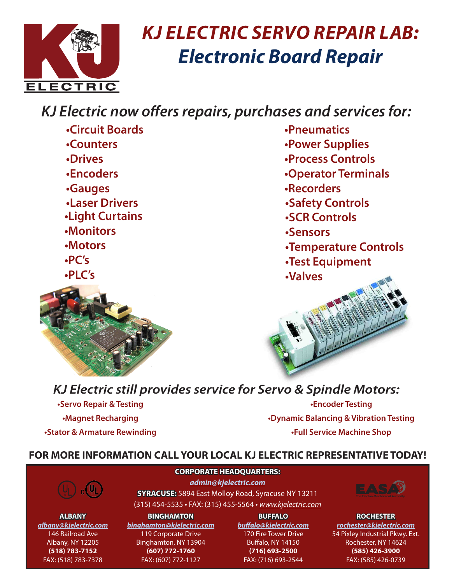

# *KJ ELECTRIC SERVO REPAIR LAB: Electronic Board Repair*

## *KJ Electric now offers repairs, purchases and services for:*

- **•Circuit Boards**
- **•Counters**
- **•Drives**
- **•Encoders**
- **•Gauges**
- **•Laser Drivers**
- **•Light Curtains**
- **•Monitors**
- **•Motors**
- **•PC's**
- **•PLC's**



- **•Pneumatics**
- **•Power Supplies**
- **•Process Controls**
- **•Operator Terminals**
- **•Recorders**
- **•Safety Controls**
- **•SCR Controls**
- **•Sensors**
- **•Temperature Controls**
- **•Test Equipment**
- **•Valves**



### *KJ Electric still provides service for Servo & Spindle Motors:*

**•Servo Repair & Testing •Magnet Recharging •Stator & Armature Rewinding**

**•Encoder Testing •Dynamic Balancing & Vibration Testing •Full Service Machine Shop**

#### **FOR MORE INFORMATION CALL YOUR LOCAL KJ ELECTRIC REPRESENTATIVE TODAY!**



**CORPORATE HEADQUARTERS:** *admin@kjelectric.com* **SYRACUSE:** 5894 East Molloy Road, Syracuse NY 13211

(315) 454-5535 • FAX: (315) 455-5564 • *www.kjelectric.com*

**ALBANY** *albany@kjelectric.com* 146 Railroad Ave Albany, NY 12205 **(518) 783-7152** FAX: (518) 783-7378

**BINGHAMTON** *binghamton@kjelectric.com* 119 Corporate Drive Binghamton, NY 13904 **(607) 772-1760** FAX: (607) 772-1127

**BUFFALO** *buffalo@kjelectric.com* 170 Fire Tower Drive Buffalo, NY 14150 **(716) 693-2500** FAX: (716) 693-2544



**ROCHESTER** *rochester@kjelectric.com* 54 Pixley Industrial Pkwy. Ext. Rochester, NY 14624 **(585) 426-3900** FAX: (585) 426-0739